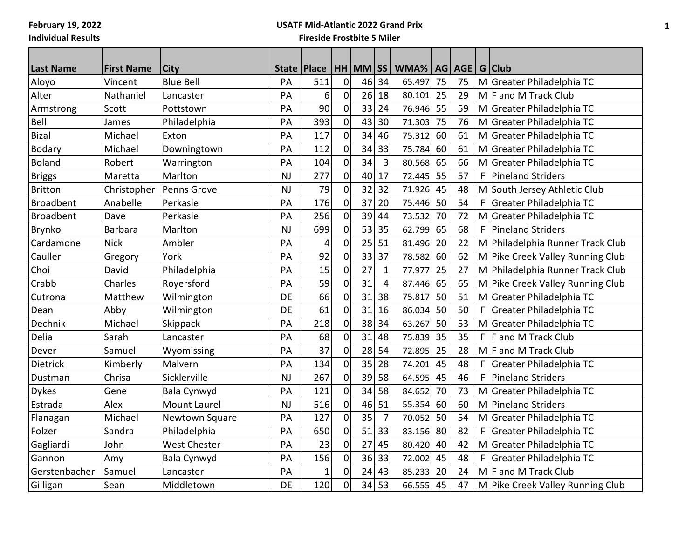# **USATF Mid-Atlantic 2022 Grand Prix**

| <b>Last Name</b> | <b>First Name</b> | <b>City</b>         | <b>State</b> | <b>Place</b> |                  | $HH$ MM $\overline{SS}$ |                | WMA%   |    | AG AGE |    | G Club                           |
|------------------|-------------------|---------------------|--------------|--------------|------------------|-------------------------|----------------|--------|----|--------|----|----------------------------------|
| Aloyo            | Vincent           | <b>Blue Bell</b>    | PA           | 511          | $\mathbf 0$      | 46                      | 34             | 65.497 | 75 | 75     |    | M Greater Philadelphia TC        |
| Alter            | Nathaniel         | Lancaster           | PA           | 6            | $\mathbf 0$      | 26                      | 18             | 80.101 | 25 | 29     |    | M F and M Track Club             |
| Armstrong        | Scott             | Pottstown           | PA           | 90           | $\mathbf 0$      | 33                      | 24             | 76.946 | 55 | 59     |    | M Greater Philadelphia TC        |
| Bell             | James             | Philadelphia        | PA           | 393          | $\mathbf 0$      | 43                      | 30             | 71.303 | 75 | 76     |    | M Greater Philadelphia TC        |
| <b>Bizal</b>     | Michael           | Exton               | PA           | 117          | $\boldsymbol{0}$ | 34                      | 46             | 75.312 | 60 | 61     |    | M Greater Philadelphia TC        |
| Bodary           | Michael           | Downingtown         | PA           | 112          | $\mathbf 0$      | 34                      | 33             | 75.784 | 60 | 61     |    | M Greater Philadelphia TC        |
| <b>Boland</b>    | Robert            | Warrington          | PA           | 104          | $\mathbf 0$      | 34                      | $\overline{3}$ | 80.568 | 65 | 66     |    | M Greater Philadelphia TC        |
| <b>Briggs</b>    | Maretta           | Marlton             | <b>NJ</b>    | 277          | $\mathbf 0$      | 40                      | 17             | 72.445 | 55 | 57     | F. | <b>Pineland Striders</b>         |
| <b>Britton</b>   | Christopher       | Penns Grove         | <b>NJ</b>    | 79           | $\mathbf 0$      | 32                      | 32             | 71.926 | 45 | 48     |    | M South Jersey Athletic Club     |
| <b>Broadbent</b> | Anabelle          | Perkasie            | PA           | 176          | $\mathbf 0$      | 37                      | 20             | 75.446 | 50 | 54     | F  | Greater Philadelphia TC          |
| <b>Broadbent</b> | Dave              | Perkasie            | PA           | 256          | $\mathbf 0$      | 39                      | 44             | 73.532 | 70 | 72     |    | M Greater Philadelphia TC        |
| <b>Brynko</b>    | <b>Barbara</b>    | Marlton             | <b>NJ</b>    | 699          | $\mathbf 0$      | 53                      | 35             | 62.799 | 65 | 68     | F  | <b>Pineland Striders</b>         |
| Cardamone        | <b>Nick</b>       | Ambler              | PA           | 4            | $\mathbf 0$      | 25                      | 51             | 81.496 | 20 | 22     |    | M Philadelphia Runner Track Club |
| Cauller          | Gregory           | York                | PA           | 92           | $\mathbf 0$      | 33                      | 37             | 78.582 | 60 | 62     |    | M Pike Creek Valley Running Club |
| Choi             | David             | Philadelphia        | PA           | 15           | $\mathbf 0$      | 27                      | $\mathbf 1$    | 77.977 | 25 | 27     |    | M Philadelphia Runner Track Club |
| Crabb            | Charles           | Royersford          | PA           | 59           | $\mathbf 0$      | 31                      | $\overline{4}$ | 87.446 | 65 | 65     |    | M Pike Creek Valley Running Club |
| Cutrona          | Matthew           | Wilmington          | DE           | 66           | $\mathbf 0$      | 31                      | 38             | 75.817 | 50 | 51     |    | M Greater Philadelphia TC        |
| Dean             | Abby              | Wilmington          | DE           | 61           | $\mathbf 0$      | 31                      | 16             | 86.034 | 50 | 50     | F  | Greater Philadelphia TC          |
| Dechnik          | Michael           | Skippack            | PA           | 218          | $\mathbf 0$      | 38                      | 34             | 63.267 | 50 | 53     |    | M Greater Philadelphia TC        |
| Delia            | Sarah             | Lancaster           | PA           | 68           | $\boldsymbol{0}$ | 31                      | 48             | 75.839 | 35 | 35     | F  | F and M Track Club               |
| Dever            | Samuel            | Wyomissing          | PA           | 37           | $\mathbf 0$      | 28                      | 54             | 72.895 | 25 | 28     |    | M F and M Track Club             |
| Dietrick         | Kimberly          | Malvern             | PA           | 134          | 0                | 35                      | 28             | 74.201 | 45 | 48     | F  | Greater Philadelphia TC          |
| Dustman          | Chrisa            | Sicklerville        | <b>NJ</b>    | 267          | $\mathbf 0$      | 39                      | 58             | 64.595 | 45 | 46     | F  | <b>Pineland Striders</b>         |
| <b>Dykes</b>     | Gene              | Bala Cynwyd         | PA           | 121          | $\boldsymbol{0}$ | 34                      | 58             | 84.652 | 70 | 73     |    | M Greater Philadelphia TC        |
| Estrada          | Alex              | <b>Mount Laurel</b> | <b>NJ</b>    | 516          | $\mathbf 0$      | 46                      | 51             | 55.354 | 60 | 60     | M  | Pineland Striders                |
| Flanagan         | Michael           | Newtown Square      | PA           | 127          | $\mathbf 0$      | 35                      | $\overline{7}$ | 70.052 | 50 | 54     |    | M Greater Philadelphia TC        |
| Folzer           | Sandra            | Philadelphia        | PA           | 650          | $\mathbf 0$      | 51                      | 33             | 83.156 | 80 | 82     | F  | Greater Philadelphia TC          |
| Gagliardi        | John              | <b>West Chester</b> | PA           | 23           | $\mathbf 0$      | 27                      | 45             | 80.420 | 40 | 42     |    | M Greater Philadelphia TC        |
| Gannon           | Amy               | Bala Cynwyd         | PA           | 156          | $\mathbf 0$      | 36                      | 33             | 72.002 | 45 | 48     | F. | Greater Philadelphia TC          |
| Gerstenbacher    | Samuel            | Lancaster           | PA           | $\mathbf 1$  | 0                | 24                      | 43             | 85.233 | 20 | 24     |    | $M$ F and M Track Club           |
| Gilligan         | Sean              | Middletown          | DE           | 120          | $\mathbf 0$      | 34                      | 53             | 66.555 | 45 | 47     |    | M Pike Creek Valley Running Club |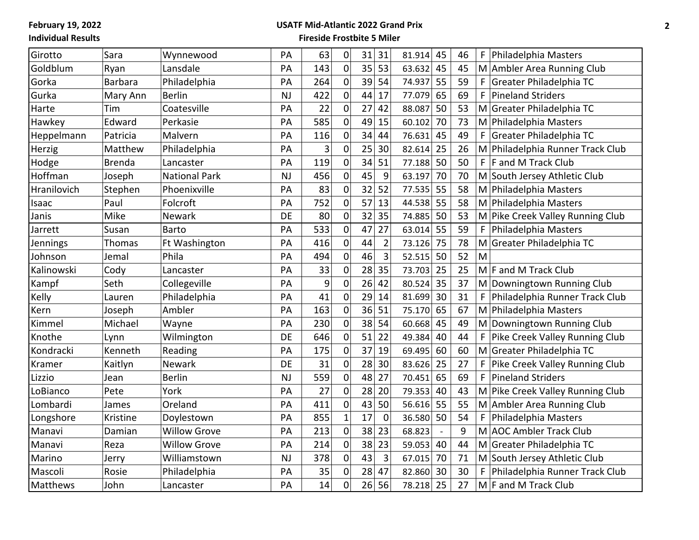#### **USATF Mid-Atlantic 2022 Grand Prix**

| Girotto     | Sara           | Wynnewood            | PA        | 63  | 0                | 31 | 31             | 81.914 | 45 | 46 | F<br>Philadelphia Masters           |
|-------------|----------------|----------------------|-----------|-----|------------------|----|----------------|--------|----|----|-------------------------------------|
| Goldblum    | Ryan           | Lansdale             | PA        | 143 | 0                | 35 | 53             | 63.632 | 45 | 45 | M Ambler Area Running Club          |
| Gorka       | <b>Barbara</b> | Philadelphia         | PA        | 264 | $\pmb{0}$        | 39 | 54             | 74.937 | 55 | 59 | Greater Philadelphia TC<br>F        |
| Gurka       | Mary Ann       | <b>Berlin</b>        | <b>NJ</b> | 422 | 0                | 44 | 17             | 77.079 | 65 | 69 | F<br><b>Pineland Striders</b>       |
| Harte       | Tim            | Coatesville          | PA        | 22  | $\mathbf 0$      | 27 | 42             | 88.087 | 50 | 53 | M Greater Philadelphia TC           |
| Hawkey      | Edward         | Perkasie             | PA        | 585 | $\mathbf 0$      | 49 | 15             | 60.102 | 70 | 73 | M Philadelphia Masters              |
| Heppelmann  | Patricia       | Malvern              | PA        | 116 | $\pmb{0}$        | 34 | 44             | 76.631 | 45 | 49 | F<br>Greater Philadelphia TC        |
| Herzig      | Matthew        | Philadelphia         | PA        | 3   | $\mathbf 0$      | 25 | 30             | 82.614 | 25 | 26 | M Philadelphia Runner Track Club    |
| Hodge       | <b>Brenda</b>  | Lancaster            | PA        | 119 | 0                | 34 | 51             | 77.188 | 50 | 50 | F.<br><b>F</b> and M Track Club     |
| Hoffman     | Joseph         | <b>National Park</b> | <b>NJ</b> | 456 | $\mathbf 0$      | 45 | 9              | 63.197 | 70 | 70 | M South Jersey Athletic Club        |
| Hranilovich | Stephen        | Phoenixville         | PA        | 83  | $\pmb{0}$        | 32 | 52             | 77.535 | 55 | 58 | M Philadelphia Masters              |
| Isaac       | Paul           | Folcroft             | PA        | 752 | $\mathbf 0$      | 57 | 13             | 44.538 | 55 | 58 | M Philadelphia Masters              |
| Janis       | Mike           | Newark               | DE        | 80  | $\mathbf 0$      | 32 | 35             | 74.885 | 50 | 53 | M Pike Creek Valley Running Club    |
| Jarrett     | Susan          | <b>Barto</b>         | PA        | 533 | $\mathbf 0$      | 47 | 27             | 63.014 | 55 | 59 | F<br>Philadelphia Masters           |
| Jennings    | Thomas         | Ft Washington        | PA        | 416 | $\pmb{0}$        | 44 | $\overline{2}$ | 73.126 | 75 | 78 | M Greater Philadelphia TC           |
| Johnson     | Jemal          | Phila                | PA        | 494 | $\mathbf 0$      | 46 | 3              | 52.515 | 50 | 52 | M                                   |
| Kalinowski  | Cody           | Lancaster            | PA        | 33  | $\mathbf 0$      | 28 | 35             | 73.703 | 25 | 25 | M F and M Track Club                |
| Kampf       | Seth           | Collegeville         | PA        | 9   | $\mathbf 0$      | 26 | 42             | 80.524 | 35 | 37 | M Downingtown Running Club          |
| Kelly       | Lauren         | Philadelphia         | PA        | 41  | $\mathbf 0$      | 29 | 14             | 81.699 | 30 | 31 | F<br>Philadelphia Runner Track Club |
| Kern        | Joseph         | Ambler               | PA        | 163 | $\mathbf 0$      | 36 | 51             | 75.170 | 65 | 67 | M Philadelphia Masters              |
| Kimmel      | Michael        | Wayne                | PA        | 230 | $\boldsymbol{0}$ | 38 | 54             | 60.668 | 45 | 49 | M Downingtown Running Club          |
| Knothe      | Lynn           | Wilmington           | DE        | 646 | $\mathbf 0$      | 51 | 22             | 49.384 | 40 | 44 | F<br>Pike Creek Valley Running Club |
| Kondracki   | Kenneth        | Reading              | PA        | 175 | $\boldsymbol{0}$ | 37 | 19             | 69.495 | 60 | 60 | Greater Philadelphia TC<br>M        |
| Kramer      | Kaitlyn        | <b>Newark</b>        | DE        | 31  | $\mathbf 0$      | 28 | 30             | 83.626 | 25 | 27 | F<br>Pike Creek Valley Running Club |
| Lizzio      | Jean           | <b>Berlin</b>        | <b>NJ</b> | 559 | $\boldsymbol{0}$ | 48 | 27             | 70.451 | 65 | 69 | F<br><b>Pineland Striders</b>       |
| LoBianco    | Pete           | York                 | PA        | 27  | $\mathbf 0$      | 28 | 20             | 79.353 | 40 | 43 | M Pike Creek Valley Running Club    |
| Lombardi    | James          | Oreland              | PA        | 411 | $\mathbf 0$      | 43 | 50             | 56.616 | 55 | 55 | M Ambler Area Running Club          |
| Longshore   | Kristine       | Doylestown           | PA        | 855 | $\mathbf{1}$     | 17 | $\mathbf 0$    | 36.580 | 50 | 54 | F<br>Philadelphia Masters           |
| Manavi      | Damian         | <b>Willow Grove</b>  | PA        | 213 | $\boldsymbol{0}$ | 38 | 23             | 68.823 |    | 9  | M AOC Ambler Track Club             |
| Manavi      | Reza           | <b>Willow Grove</b>  | PA        | 214 | $\mathbf 0$      | 38 | 23             | 59.053 | 40 | 44 | M Greater Philadelphia TC           |
| Marino      | Jerry          | Williamstown         | <b>NJ</b> | 378 | 0                | 43 | 3              | 67.015 | 70 | 71 | M South Jersey Athletic Club        |
| Mascoli     | Rosie          | Philadelphia         | PA        | 35  | 0                | 28 | 47             | 82.860 | 30 | 30 | F<br>Philadelphia Runner Track Club |
| Matthews    | John           | Lancaster            | PA        | 14  | $\mathbf 0$      | 26 | 56             | 78.218 | 25 | 27 | M F and M Track Club                |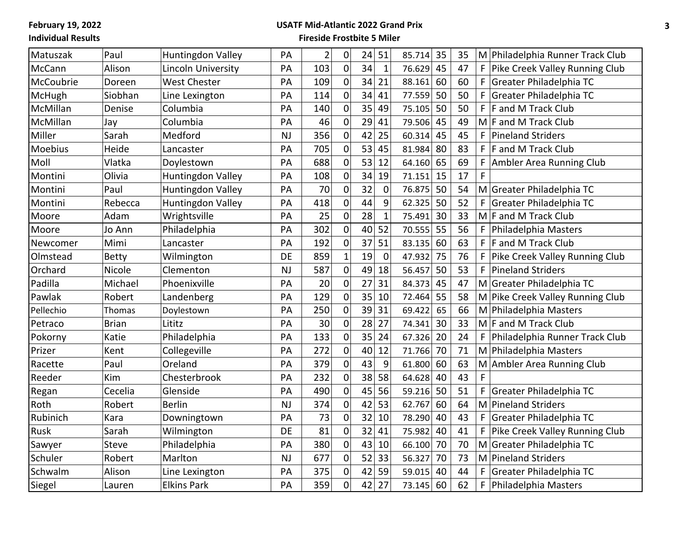## **USATF Mid-Atlantic 2022 Grand Prix**

| Matuszak  | Paul         | Huntingdon Valley        | PA        | $\overline{2}$ | 0                | 24 | 51           | 85.714 | 35 | 35 | M Philadelphia Runner Track Club    |
|-----------|--------------|--------------------------|-----------|----------------|------------------|----|--------------|--------|----|----|-------------------------------------|
| McCann    | Alison       | Lincoln University       | PA        | 103            | 0                | 34 | $\mathbf 1$  | 76.629 | 45 | 47 | Pike Creek Valley Running Club<br>F |
| McCoubrie | Doreen       | <b>West Chester</b>      | PA        | 109            | $\boldsymbol{0}$ | 34 | 21           | 88.161 | 60 | 60 | F<br>Greater Philadelphia TC        |
| McHugh    | Siobhan      | Line Lexington           | PA        | 114            | 0                | 34 | 41           | 77.559 | 50 | 50 | F<br>Greater Philadelphia TC        |
| McMillan  | Denise       | Columbia                 | PA        | 140            | $\mathbf 0$      | 35 | 49           | 75.105 | 50 | 50 | F<br>F and M Track Club             |
| McMillan  | Jay          | Columbia                 | PA        | 46             | $\boldsymbol{0}$ | 29 | 41           | 79.506 | 45 | 49 | $M \mid F$ and M Track Club         |
| Miller    | Sarah        | Medford                  | <b>NJ</b> | 356            | $\pmb{0}$        | 42 | 25           | 60.314 | 45 | 45 | F<br><b>Pineland Striders</b>       |
| Moebius   | Heide        | Lancaster                | PA        | 705            | 0                | 53 | 45           | 81.984 | 80 | 83 | F<br>F and M Track Club             |
| Moll      | Vlatka       | Doylestown               | PA        | 688            | $\boldsymbol{0}$ | 53 | 12           | 64.160 | 65 | 69 | F<br>Ambler Area Running Club       |
| Montini   | Olivia       | Huntingdon Valley        | PA        | 108            | $\pmb{0}$        | 34 | 19           | 71.151 | 15 | 17 | F                                   |
| Montini   | Paul         | <b>Huntingdon Valley</b> | PA        | 70             | $\mathbf 0$      | 32 | $\mathbf 0$  | 76.875 | 50 | 54 | M Greater Philadelphia TC           |
| Montini   | Rebecca      | Huntingdon Valley        | PA        | 418            | $\boldsymbol{0}$ | 44 | 9            | 62.325 | 50 | 52 | F<br>Greater Philadelphia TC        |
| Moore     | Adam         | Wrightsville             | PA        | 25             | $\mathbf 0$      | 28 | $\mathbf{1}$ | 75.491 | 30 | 33 | M F and M Track Club                |
| Moore     | Jo Ann       | Philadelphia             | PA        | 302            | $\mathbf 0$      | 40 | 52           | 70.555 | 55 | 56 | F<br>Philadelphia Masters           |
| Newcomer  | Mimi         | Lancaster                | PA        | 192            | $\boldsymbol{0}$ | 37 | 51           | 83.135 | 60 | 63 | F<br>F and M Track Club             |
| Olmstead  | <b>Betty</b> | Wilmington               | DE        | 859            | $\mathbf 1$      | 19 | $\mathbf 0$  | 47.932 | 75 | 76 | F<br>Pike Creek Valley Running Club |
| Orchard   | Nicole       | Clementon                | <b>NJ</b> | 587            | $\boldsymbol{0}$ | 49 | 18           | 56.457 | 50 | 53 | F.<br><b>Pineland Striders</b>      |
| Padilla   | Michael      | Phoenixville             | PA        | 20             | $\boldsymbol{0}$ | 27 | 31           | 84.373 | 45 | 47 | M Greater Philadelphia TC           |
| Pawlak    | Robert       | Landenberg               | PA        | 129            | $\boldsymbol{0}$ | 35 | 10           | 72.464 | 55 | 58 | M Pike Creek Valley Running Club    |
| Pellechio | Thomas       | Doylestown               | PA        | 250            | 0                | 39 | 31           | 69.422 | 65 | 66 | M Philadelphia Masters              |
| Petraco   | <b>Brian</b> | Lititz                   | PA        | 30             | $\mathbf 0$      | 28 | 27           | 74.341 | 30 | 33 | M F and M Track Club                |
| Pokorny   | Katie        | Philadelphia             | PA        | 133            | $\mathbf 0$      | 35 | 24           | 67.326 | 20 | 24 | F<br>Philadelphia Runner Track Club |
| Prizer    | Kent         | Collegeville             | PA        | 272            | $\pmb{0}$        | 40 | 12           | 71.766 | 70 | 71 | M Philadelphia Masters              |
| Racette   | Paul         | Oreland                  | PA        | 379            | $\mathbf 0$      | 43 | 9            | 61.800 | 60 | 63 | M Ambler Area Running Club          |
| Reeder    | Kim          | Chesterbrook             | PA        | 232            | $\pmb{0}$        | 38 | 58           | 64.628 | 40 | 43 | F                                   |
| Regan     | Cecelia      | Glenside                 | PA        | 490            | $\mathbf 0$      | 45 | 56           | 59.216 | 50 | 51 | F<br>Greater Philadelphia TC        |
| Roth      | Robert       | <b>Berlin</b>            | <b>NJ</b> | 374            | $\pmb{0}$        | 42 | 53           | 62.767 | 60 | 64 | M Pineland Striders                 |
| Rubinich  | Kara         | Downingtown              | PA        | 73             | $\mathbf 0$      | 32 | 10           | 78.290 | 40 | 43 | F<br>Greater Philadelphia TC        |
| Rusk      | Sarah        | Wilmington               | DE        | 81             | $\boldsymbol{0}$ | 32 | 41           | 75.982 | 40 | 41 | F<br>Pike Creek Valley Running Club |
| Sawyer    | Steve        | Philadelphia             | PA        | 380            | $\mathbf 0$      | 43 | 10           | 66.100 | 70 | 70 | M Greater Philadelphia TC           |
| Schuler   | Robert       | Marlton                  | <b>NJ</b> | 677            | $\boldsymbol{0}$ | 52 | 33           | 56.327 | 70 | 73 | M Pineland Striders                 |
| Schwalm   | Alison       | Line Lexington           | PA        | 375            | $\mathbf 0$      | 42 | 59           | 59.015 | 40 | 44 | Greater Philadelphia TC<br>F.       |
| Siegel    | Lauren       | <b>Elkins Park</b>       | PA        | 359            | 0                | 42 | 27           | 73.145 | 60 | 62 | F<br>Philadelphia Masters           |